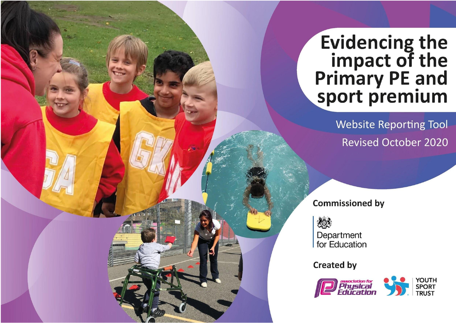## **Evidencing the<br>impact of the<br>Primary PE and<br>sport premium**

**Website Reporting Tool Revised October 2020** 

**Commissioned by** 

想 Department for Education

**Created by** 

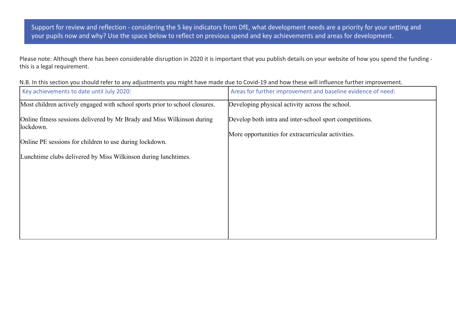Support for review and reflection - considering the 5 key indicators from DfE, what development needs are a priority for your setting and your pupils now and why? Use the space below to reflect on previous spend and key achievements and areas for development.

Please note: Although there has been considerable disruption in 2020 it is important that you publish details on your website of how you spend the funding this is a legal requirement.

|  | N.B. In this section you should refer to any adjustments you might have made due to Covid-19 and how these will influence further improvement. |  |
|--|------------------------------------------------------------------------------------------------------------------------------------------------|--|
|--|------------------------------------------------------------------------------------------------------------------------------------------------|--|

| Key achievements to date until July 2020:                                            | Areas for further improvement and baseline evidence of need: |
|--------------------------------------------------------------------------------------|--------------------------------------------------------------|
| Most children actively engaged with school sports prior to school closures.          | Developing physical activity across the school.              |
| Online fitness sessions delivered by Mr Brady and Miss Wilkinson during<br>lockdown. | Develop both intra and inter-school sport competitions.      |
| Online PE sessions for children to use during lockdown.                              | More opportunities for extracurricular activities.           |
| Lunchtime clubs delivered by Miss Wilkinson during lunchtimes.                       |                                                              |
|                                                                                      |                                                              |
|                                                                                      |                                                              |
|                                                                                      |                                                              |
|                                                                                      |                                                              |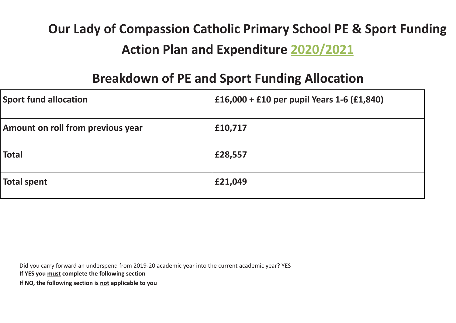## **Our Lady of Compassion Catholic Primary School PE & Sport Funding Action Plan and Expenditure 2020/2021**

## **Breakdown of PE and Sport Funding Allocation**

| <b>Sport fund allocation</b>      | £16,000 + £10 per pupil Years 1-6 (£1,840) |
|-----------------------------------|--------------------------------------------|
| Amount on roll from previous year | £10,717                                    |
| <b>Total</b>                      | £28,557                                    |
| <b>Total spent</b>                | £21,049                                    |

Did you carry forward an underspend from 2019-20 academic year into the current academic year? YES

**If YES you must complete the following section**

**If NO, the following section is not applicable to you**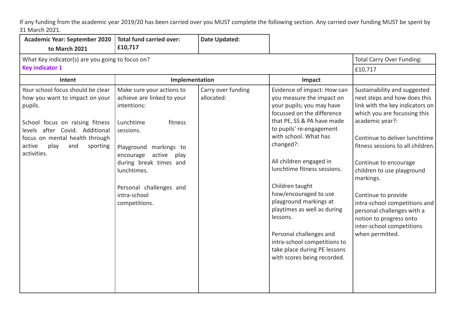If any funding from the academic year 2019/20 has been carried over you MUST complete the following section. Any carried over funding MUST be spent by 31 March 2021.

| <b>Academic Year: September 2020</b>                                                                                                                                                                                                      | <b>Total fund carried over:</b>                                                                                                                                                                                                                                           | <b>Date Updated:</b>             |                                                                                                                                                                                                                                                                                                                                                                                                                                                                                                                          |                                                                                                                                                                                                                                                                                                                                                                                                                                                               |
|-------------------------------------------------------------------------------------------------------------------------------------------------------------------------------------------------------------------------------------------|---------------------------------------------------------------------------------------------------------------------------------------------------------------------------------------------------------------------------------------------------------------------------|----------------------------------|--------------------------------------------------------------------------------------------------------------------------------------------------------------------------------------------------------------------------------------------------------------------------------------------------------------------------------------------------------------------------------------------------------------------------------------------------------------------------------------------------------------------------|---------------------------------------------------------------------------------------------------------------------------------------------------------------------------------------------------------------------------------------------------------------------------------------------------------------------------------------------------------------------------------------------------------------------------------------------------------------|
| to March 2021                                                                                                                                                                                                                             | £10,717                                                                                                                                                                                                                                                                   |                                  |                                                                                                                                                                                                                                                                                                                                                                                                                                                                                                                          |                                                                                                                                                                                                                                                                                                                                                                                                                                                               |
| What Key indicator(s) are you going to focus on?                                                                                                                                                                                          |                                                                                                                                                                                                                                                                           |                                  |                                                                                                                                                                                                                                                                                                                                                                                                                                                                                                                          | <b>Total Carry Over Funding:</b>                                                                                                                                                                                                                                                                                                                                                                                                                              |
| <b>Key indicator 1</b>                                                                                                                                                                                                                    |                                                                                                                                                                                                                                                                           |                                  |                                                                                                                                                                                                                                                                                                                                                                                                                                                                                                                          | £10,717                                                                                                                                                                                                                                                                                                                                                                                                                                                       |
| Intent                                                                                                                                                                                                                                    | Implementation                                                                                                                                                                                                                                                            |                                  | Impact                                                                                                                                                                                                                                                                                                                                                                                                                                                                                                                   |                                                                                                                                                                                                                                                                                                                                                                                                                                                               |
| Your school focus should be clear<br>how you want to impact on your<br>pupils.<br>School focus on raising fitness<br>levels after Covid. Additional<br>focus on mental health through<br>active<br>play<br>and<br>sporting<br>activities. | Make sure your actions to<br>achieve are linked to your<br>intentions:<br>Lunchtime<br>fitness<br>sessions.<br>Playground markings to<br>encourage<br>active<br>play<br>during break times and<br>lunchtimes.<br>Personal challenges and<br>intra-school<br>competitions. | Carry over funding<br>allocated: | Evidence of impact: How can<br>you measure the impact on<br>your pupils; you may have<br>focussed on the difference<br>that PE, SS & PA have made<br>to pupils' re-engagement<br>with school. What has<br>changed?:<br>All children engaged in<br>lunchtime fitness sessions.<br>Children taught<br>how/encouraged to use<br>playground markings at<br>playtimes as well as during<br>lessons.<br>Personal challenges and<br>intra-school competitions to<br>take place during PE lessons<br>with scores being recorded. | Sustainability and suggested<br>next steps and how does this<br>link with the key indicators on<br>which you are focussing this<br>academic year?:<br>Continue to deliver lunchtime<br>fitness sessions to all children.<br>Continue to encourage<br>children to use playground<br>markings.<br>Continue to provide<br>intra-school competitions and<br>personal challenges with a<br>notion to progress onto<br>inter-school competitions<br>when permitted. |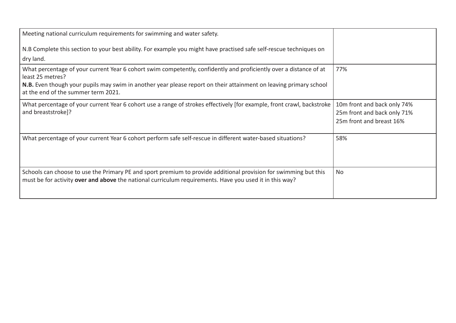| Meeting national curriculum requirements for swimming and water safety.                                                                                                                                                     |                                                         |
|-----------------------------------------------------------------------------------------------------------------------------------------------------------------------------------------------------------------------------|---------------------------------------------------------|
| N.B Complete this section to your best ability. For example you might have practised safe self-rescue techniques on                                                                                                         |                                                         |
| dry land.                                                                                                                                                                                                                   |                                                         |
| What percentage of your current Year 6 cohort swim competently, confidently and proficiently over a distance of at<br>least 25 metres?                                                                                      | 77%                                                     |
| <b>N.B.</b> Even though your pupils may swim in another year please report on their attainment on leaving primary school<br>at the end of the summer term 2021.                                                             |                                                         |
| What percentage of your current Year 6 cohort use a range of strokes effectively [for example, front crawl, backstroke                                                                                                      | 10m front and back only 74%                             |
| and breaststroke]?                                                                                                                                                                                                          | 25m front and back only 71%<br>25m front and breast 16% |
| What percentage of your current Year 6 cohort perform safe self-rescue in different water-based situations?                                                                                                                 | 58%                                                     |
| Schools can choose to use the Primary PE and sport premium to provide additional provision for swimming but this<br>must be for activity over and above the national curriculum requirements. Have you used it in this way? | <b>No</b>                                               |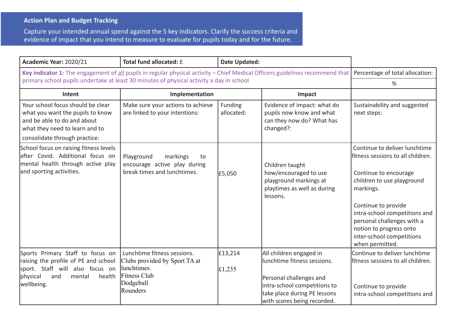## **Action Plan and Budget Tracking**

Capture your intended annual spend against the 5 key indicators. Clarify the success criteria and evidence of impact that you intend to measure to evaluate for pupils today and for the future.

| Academic Year: 2020/21                                                                                                                                                  | Total fund allocated: £                                                                                                     | <b>Date Updated:</b>      |                                                                                                                                                                                  |                                                                                                                                                                                                                                                                                                         |
|-------------------------------------------------------------------------------------------------------------------------------------------------------------------------|-----------------------------------------------------------------------------------------------------------------------------|---------------------------|----------------------------------------------------------------------------------------------------------------------------------------------------------------------------------|---------------------------------------------------------------------------------------------------------------------------------------------------------------------------------------------------------------------------------------------------------------------------------------------------------|
| Key indicator 1: The engagement of all pupils in regular physical activity - Chief Medical Officers guidelines recommend that                                           |                                                                                                                             |                           |                                                                                                                                                                                  | Percentage of total allocation:                                                                                                                                                                                                                                                                         |
| primary school pupils undertake at least 30 minutes of physical activity a day in school                                                                                |                                                                                                                             |                           |                                                                                                                                                                                  | %                                                                                                                                                                                                                                                                                                       |
| Intent                                                                                                                                                                  | Implementation                                                                                                              |                           | Impact                                                                                                                                                                           |                                                                                                                                                                                                                                                                                                         |
| Your school focus should be clear<br>what you want the pupils to know<br>and be able to do and about<br>what they need to learn and to<br>consolidate through practice: | Make sure your actions to achieve<br>are linked to your intentions:                                                         | Funding<br>allocated:     | Evidence of impact: what do<br>pupils now know and what<br>can they now do? What has<br>changed?:                                                                                | Sustainability and suggested<br>next steps:                                                                                                                                                                                                                                                             |
| School focus on raising fitness levels<br>after Covid. Additional focus on<br>mental health through active play<br>and sporting activities.                             | Playground<br>markings<br>to<br>encourage active play during<br>break times and lunchtimes.                                 | £5,050                    | Children taught<br>how/encouraged to use<br>playground markings at<br>playtimes as well as during<br>lessons.                                                                    | Continue to deliver lunchtime<br>fitness sessions to all children.<br>Continue to encourage<br>children to use playground<br>markings.<br>Continue to provide<br>intra-school competitions and<br>personal challenges with a<br>notion to progress onto<br>inter-school competitions<br>when permitted. |
| Sports Primary Staff to focus on<br>raising the profile of PE and school<br>sport. Staff will also focus on<br>physical<br>and<br>mental<br>health<br>wellbeing.        | Lunchtime fitness sessions.<br>Clubs provided by Sport TA at<br>lunchtimes.<br><b>Fitness Club</b><br>Dodgeball<br>Rounders | £13,214<br>$\pounds1,235$ | All children engaged in<br>lunchtime fitness sessions.<br>Personal challenges and<br>intra-school competitions to<br>take place during PE lessons<br>with scores being recorded. | Continue to deliver lunchtime<br>fitness sessions to all children.<br>Continue to provide<br>intra-school competitions and                                                                                                                                                                              |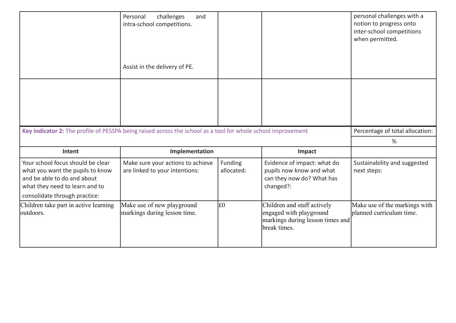|                                                                                                                                                                         | Personal<br>challenges<br>and<br>intra-school competitions.         |                       |                                                                                                   | personal challenges with a<br>notion to progress onto<br>inter-school competitions<br>when permitted. |
|-------------------------------------------------------------------------------------------------------------------------------------------------------------------------|---------------------------------------------------------------------|-----------------------|---------------------------------------------------------------------------------------------------|-------------------------------------------------------------------------------------------------------|
|                                                                                                                                                                         | Assist in the delivery of PE.                                       |                       |                                                                                                   |                                                                                                       |
|                                                                                                                                                                         |                                                                     |                       |                                                                                                   |                                                                                                       |
| Key indicator 2: The profile of PESSPA being raised across the school as a tool for whole school improvement                                                            |                                                                     |                       |                                                                                                   | Percentage of total allocation:                                                                       |
|                                                                                                                                                                         |                                                                     |                       |                                                                                                   |                                                                                                       |
|                                                                                                                                                                         |                                                                     |                       |                                                                                                   | %                                                                                                     |
| Intent                                                                                                                                                                  | Implementation                                                      |                       | Impact                                                                                            |                                                                                                       |
| Your school focus should be clear<br>what you want the pupils to know<br>and be able to do and about<br>what they need to learn and to<br>consolidate through practice: | Make sure your actions to achieve<br>are linked to your intentions: | Funding<br>allocated: | Evidence of impact: what do<br>pupils now know and what<br>can they now do? What has<br>changed?: | Sustainability and suggested<br>next steps:                                                           |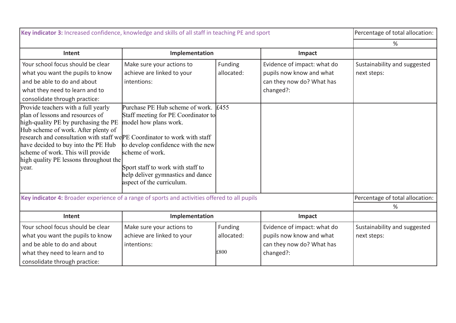| Key indicator 3: Increased confidence, knowledge and skills of all staff in teaching PE and sport                                                                                                                                                                                                                                                                  |                                                                                                                                                                                                                                                                 |                     | Percentage of total allocation: |                                 |
|--------------------------------------------------------------------------------------------------------------------------------------------------------------------------------------------------------------------------------------------------------------------------------------------------------------------------------------------------------------------|-----------------------------------------------------------------------------------------------------------------------------------------------------------------------------------------------------------------------------------------------------------------|---------------------|---------------------------------|---------------------------------|
|                                                                                                                                                                                                                                                                                                                                                                    |                                                                                                                                                                                                                                                                 |                     |                                 | %                               |
| Intent                                                                                                                                                                                                                                                                                                                                                             | Implementation                                                                                                                                                                                                                                                  |                     | Impact                          |                                 |
| Your school focus should be clear                                                                                                                                                                                                                                                                                                                                  | Make sure your actions to                                                                                                                                                                                                                                       | Funding             | Evidence of impact: what do     | Sustainability and suggested    |
| what you want the pupils to know                                                                                                                                                                                                                                                                                                                                   | achieve are linked to your                                                                                                                                                                                                                                      | allocated:          | pupils now know and what        | next steps:                     |
| and be able to do and about                                                                                                                                                                                                                                                                                                                                        | intentions:                                                                                                                                                                                                                                                     |                     | can they now do? What has       |                                 |
| what they need to learn and to                                                                                                                                                                                                                                                                                                                                     |                                                                                                                                                                                                                                                                 |                     | changed?:                       |                                 |
| consolidate through practice:                                                                                                                                                                                                                                                                                                                                      |                                                                                                                                                                                                                                                                 |                     |                                 |                                 |
| Provide teachers with a full yearly<br>plan of lessons and resources of<br>high-quality PE by purchasing the PE<br>Hub scheme of work. After plenty of<br>research and consultation with staff we PE Coordinator to work with staff<br>have decided to buy into the PE Hub<br>scheme of work. This will provide<br>high quality PE lessons throughout the<br>year. | Purchase PE Hub scheme of work.<br>Staff meeting for PE Coordinator to<br>model how plans work.<br>to develop confidence with the new<br>scheme of work.<br>Sport staff to work with staff to<br>help deliver gymnastics and dance<br>aspect of the curriculum. | $\text{\pounds}455$ |                                 |                                 |
| Key indicator 4: Broader experience of a range of sports and activities offered to all pupils                                                                                                                                                                                                                                                                      |                                                                                                                                                                                                                                                                 |                     |                                 | Percentage of total allocation: |
|                                                                                                                                                                                                                                                                                                                                                                    |                                                                                                                                                                                                                                                                 |                     |                                 | %                               |
| Intent                                                                                                                                                                                                                                                                                                                                                             | Implementation                                                                                                                                                                                                                                                  |                     | Impact                          |                                 |
| Your school focus should be clear                                                                                                                                                                                                                                                                                                                                  | Make sure your actions to                                                                                                                                                                                                                                       | Funding             | Evidence of impact: what do     | Sustainability and suggested    |
| what you want the pupils to know                                                                                                                                                                                                                                                                                                                                   | achieve are linked to your                                                                                                                                                                                                                                      | allocated:          | pupils now know and what        | next steps:                     |
| and be able to do and about                                                                                                                                                                                                                                                                                                                                        | intentions:                                                                                                                                                                                                                                                     |                     | can they now do? What has       |                                 |
| what they need to learn and to                                                                                                                                                                                                                                                                                                                                     |                                                                                                                                                                                                                                                                 | £800                | changed?:                       |                                 |
| consolidate through practice:                                                                                                                                                                                                                                                                                                                                      |                                                                                                                                                                                                                                                                 |                     |                                 |                                 |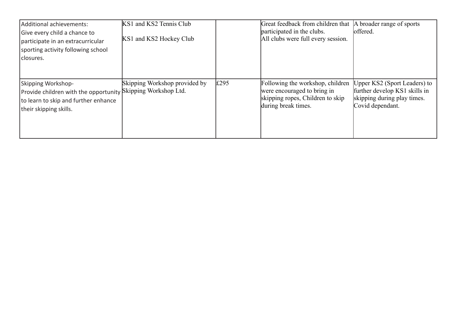| Additional achievements:<br>Give every child a chance to<br>participate in an extracurricular<br>sporting activity following school<br> closures.    | KS1 and KS2 Tennis Club<br>KS1 and KS2 Hockey Club |      | Great feedback from children that<br>participated in the clubs.<br>All clubs were full every session.                      | A broader range of sports<br>offered.                                                                            |
|------------------------------------------------------------------------------------------------------------------------------------------------------|----------------------------------------------------|------|----------------------------------------------------------------------------------------------------------------------------|------------------------------------------------------------------------------------------------------------------|
| Skipping Workshop-<br>Provide children with the opportunity Skipping Workshop Ltd.<br>to learn to skip and further enhance<br>their skipping skills. | Skipping Workshop provided by                      | £295 | Following the workshop, children<br>were encouraged to bring in<br>skipping ropes, Children to skip<br>during break times. | Upper KS2 (Sport Leaders) to<br>further develop KS1 skills in<br>skipping during play times.<br>Covid dependant. |